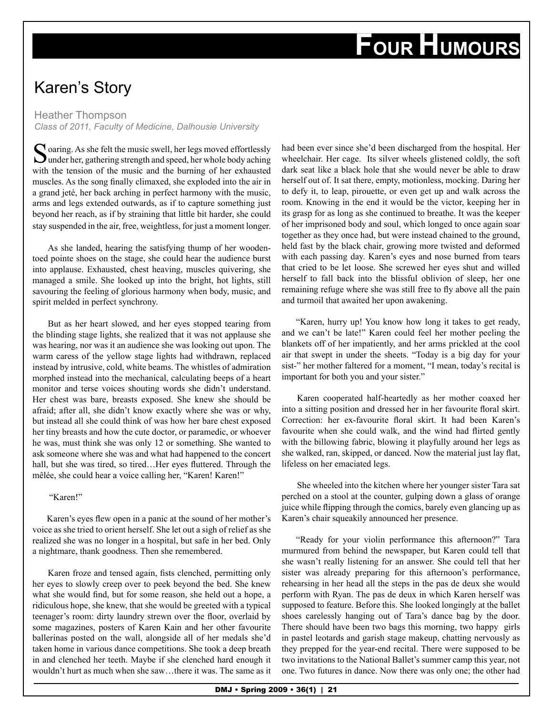## **FOUR HUMOURS**

## Karen's Story

Heather Thompson *Class of 2011, Faculty of Medicine, Dalhousie University*

Soaring. As she felt the music swell, her legs moved effortlessly under her, gathering strength and speed, her whole body aching with the tension of the music and the burning of her exhausted muscles. As the song finally climaxed, she exploded into the air in a grand jeté, her back arching in perfect harmony with the music, arms and legs extended outwards, as if to capture something just beyond her reach, as if by straining that little bit harder, she could stay suspended in the air, free, weightless, for just a moment longer.

As she landed, hearing the satisfying thump of her woodentoed pointe shoes on the stage, she could hear the audience burst into applause. Exhausted, chest heaving, muscles quivering, she managed a smile. She looked up into the bright, hot lights, still savouring the feeling of glorious harmony when body, music, and spirit melded in perfect synchrony.

But as her heart slowed, and her eyes stopped tearing from the blinding stage lights, she realized that it was not applause she was hearing, nor was it an audience she was looking out upon. The warm caress of the yellow stage lights had withdrawn, replaced instead by intrusive, cold, white beams. The whistles of admiration morphed instead into the mechanical, calculating beeps of a heart monitor and terse voices shouting words she didn't understand. Her chest was bare, breasts exposed. She knew she should be afraid; after all, she didn't know exactly where she was or why, but instead all she could think of was how her bare chest exposed her tiny breasts and how the cute doctor, or paramedic, or whoever he was, must think she was only 12 or something. She wanted to ask someone where she was and what had happened to the concert hall, but she was tired, so tired...Her eyes fluttered. Through the mêlée, she could hear a voice calling her, "Karen! Karen!"

"Karen!"

Karen's eyes flew open in a panic at the sound of her mother's voice as she tried to orient herself. She let out a sigh of relief as she realized she was no longer in a hospital, but safe in her bed. Only a nightmare, thank goodness. Then she remembered.

Karen froze and tensed again, fists clenched, permitting only her eyes to slowly creep over to peek beyond the bed. She knew what she would find, but for some reason, she held out a hope, a ridiculous hope, she knew, that she would be greeted with a typical teenager's room: dirty laundry strewn over the floor, overlaid by some magazines, posters of Karen Kain and her other favourite ballerinas posted on the wall, alongside all of her medals she'd taken home in various dance competitions. She took a deep breath in and clenched her teeth. Maybe if she clenched hard enough it wouldn't hurt as much when she saw…there it was. The same as it had been ever since she'd been discharged from the hospital. Her wheelchair. Her cage. Its silver wheels glistened coldly, the soft dark seat like a black hole that she would never be able to draw herself out of. It sat there, empty, motionless, mocking. Daring her to defy it, to leap, pirouette, or even get up and walk across the room. Knowing in the end it would be the victor, keeping her in its grasp for as long as she continued to breathe. It was the keeper of her imprisoned body and soul, which longed to once again soar together as they once had, but were instead chained to the ground, held fast by the black chair, growing more twisted and deformed with each passing day. Karen's eyes and nose burned from tears that cried to be let loose. She screwed her eyes shut and willed herself to fall back into the blissful oblivion of sleep, her one remaining refuge where she was still free to fly above all the pain and turmoil that awaited her upon awakening.

"Karen, hurry up! You know how long it takes to get ready, and we can't be late!" Karen could feel her mother peeling the blankets off of her impatiently, and her arms prickled at the cool air that swept in under the sheets. "Today is a big day for your sist-" her mother faltered for a moment, "I mean, today's recital is important for both you and your sister."

Karen cooperated half-heartedly as her mother coaxed her into a sitting position and dressed her in her favourite floral skirt. Correction: her ex-favourite floral skirt. It had been Karen's favourite when she could walk, and the wind had flirted gently with the billowing fabric, blowing it playfully around her legs as she walked, ran, skipped, or danced. Now the material just lay flat, lifeless on her emaciated legs.

She wheeled into the kitchen where her younger sister Tara sat perched on a stool at the counter, gulping down a glass of orange juice while flipping through the comics, barely even glancing up as Karen's chair squeakily announced her presence.

"Ready for your violin performance this afternoon?" Tara murmured from behind the newspaper, but Karen could tell that she wasn't really listening for an answer. She could tell that her sister was already preparing for this afternoon's performance, rehearsing in her head all the steps in the pas de deux she would perform with Ryan. The pas de deux in which Karen herself was supposed to feature. Before this. She looked longingly at the ballet shoes carelessly hanging out of Tara's dance bag by the door. There should have been two bags this morning, two happy girls in pastel leotards and garish stage makeup, chatting nervously as they prepped for the year-end recital. There were supposed to be two invitations to the National Ballet's summer camp this year, not one. Two futures in dance. Now there was only one; the other had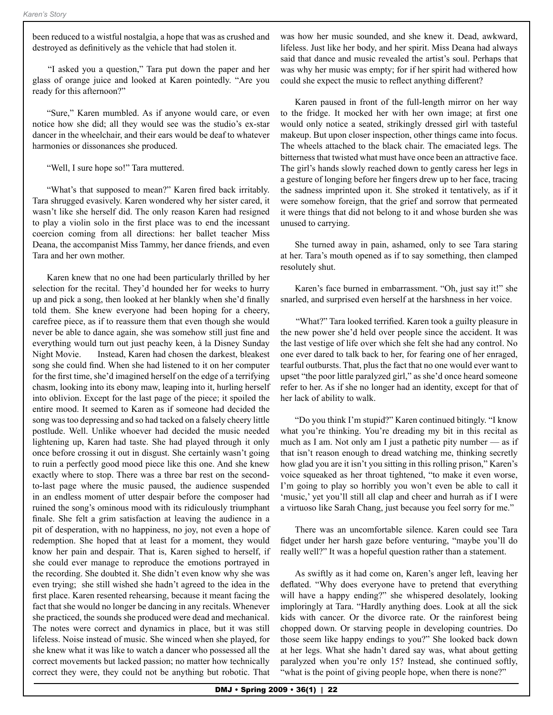been reduced to a wistful nostalgia, a hope that was as crushed and destroyed as definitively as the vehicle that had stolen it.

"I asked you a question," Tara put down the paper and her glass of orange juice and looked at Karen pointedly. "Are you ready for this afternoon?"

"Sure," Karen mumbled. As if anyone would care, or even notice how she did; all they would see was the studio's ex-star dancer in the wheelchair, and their ears would be deaf to whatever harmonies or dissonances she produced.

"Well, I sure hope so!" Tara muttered.

"What's that supposed to mean?" Karen fired back irritably. Tara shrugged evasively. Karen wondered why her sister cared, it wasn't like she herself did. The only reason Karen had resigned to play a violin solo in the first place was to end the incessant coercion coming from all directions: her ballet teacher Miss Deana, the accompanist Miss Tammy, her dance friends, and even Tara and her own mother.

Karen knew that no one had been particularly thrilled by her selection for the recital. They'd hounded her for weeks to hurry up and pick a song, then looked at her blankly when she'd finally told them. She knew everyone had been hoping for a cheery, carefree piece, as if to reassure them that even though she would never be able to dance again, she was somehow still just fine and everything would turn out just peachy keen, à la Disney Sunday Night Movie. Instead, Karen had chosen the darkest, bleakest song she could find. When she had listened to it on her computer for the first time, she'd imagined herself on the edge of a terrifying chasm, looking into its ebony maw, leaping into it, hurling herself into oblivion. Except for the last page of the piece; it spoiled the entire mood. It seemed to Karen as if someone had decided the song was too depressing and so had tacked on a falsely cheery little postlude. Well. Unlike whoever had decided the music needed lightening up, Karen had taste. She had played through it only once before crossing it out in disgust. She certainly wasn't going to ruin a perfectly good mood piece like this one. And she knew exactly where to stop. There was a three bar rest on the secondto-last page where the music paused, the audience suspended in an endless moment of utter despair before the composer had ruined the song's ominous mood with its ridiculously triumphant finale. She felt a grim satisfaction at leaving the audience in a pit of desperation, with no happiness, no joy, not even a hope of redemption. She hoped that at least for a moment, they would know her pain and despair. That is, Karen sighed to herself, if she could ever manage to reproduce the emotions portrayed in the recording. She doubted it. She didn't even know why she was even trying; she still wished she hadn't agreed to the idea in the first place. Karen resented rehearsing, because it meant facing the fact that she would no longer be dancing in any recitals. Whenever she practiced, the sounds she produced were dead and mechanical. The notes were correct and dynamics in place, but it was still lifeless. Noise instead of music. She winced when she played, for she knew what it was like to watch a dancer who possessed all the correct movements but lacked passion; no matter how technically correct they were, they could not be anything but robotic. That

was how her music sounded, and she knew it. Dead, awkward, lifeless. Just like her body, and her spirit. Miss Deana had always said that dance and music revealed the artist's soul. Perhaps that was why her music was empty; for if her spirit had withered how could she expect the music to reflect anything different?

Karen paused in front of the full-length mirror on her way to the fridge. It mocked her with her own image; at first one would only notice a seated, strikingly dressed girl with tasteful makeup. But upon closer inspection, other things came into focus. The wheels attached to the black chair. The emaciated legs. The bitterness that twisted what must have once been an attractive face. The girl's hands slowly reached down to gently caress her legs in a gesture of longing before her fingers drew up to her face, tracing the sadness imprinted upon it. She stroked it tentatively, as if it were somehow foreign, that the grief and sorrow that permeated it were things that did not belong to it and whose burden she was unused to carrying.

She turned away in pain, ashamed, only to see Tara staring at her. Tara's mouth opened as if to say something, then clamped resolutely shut.

Karen's face burned in embarrassment. "Oh, just say it!" she snarled, and surprised even herself at the harshness in her voice.

"What?" Tara looked terrified. Karen took a guilty pleasure in the new power she'd held over people since the accident. It was the last vestige of life over which she felt she had any control. No one ever dared to talk back to her, for fearing one of her enraged, tearful outbursts. That, plus the fact that no one would ever want to upset "the poor little paralyzed girl," as she'd once heard someone refer to her. As if she no longer had an identity, except for that of her lack of ability to walk.

"Do you think I'm stupid?" Karen continued bitingly. "I know what you're thinking. You're dreading my bit in this recital as much as I am. Not only am I just a pathetic pity number — as if that isn't reason enough to dread watching me, thinking secretly how glad you are it isn't you sitting in this rolling prison," Karen's voice squeaked as her throat tightened, "to make it even worse, I'm going to play so horribly you won't even be able to call it 'music,' yet you'll still all clap and cheer and hurrah as if I were a virtuoso like Sarah Chang, just because you feel sorry for me."

There was an uncomfortable silence. Karen could see Tara fidget under her harsh gaze before venturing, "maybe you'll do really well?" It was a hopeful question rather than a statement.

As swiftly as it had come on, Karen's anger left, leaving her deflated. "Why does everyone have to pretend that everything will have a happy ending?" she whispered desolately, looking imploringly at Tara. "Hardly anything does. Look at all the sick kids with cancer. Or the divorce rate. Or the rainforest being chopped down. Or starving people in developing countries. Do those seem like happy endings to you?" She looked back down at her legs. What she hadn't dared say was, what about getting paralyzed when you're only 15? Instead, she continued softly, "what is the point of giving people hope, when there is none?"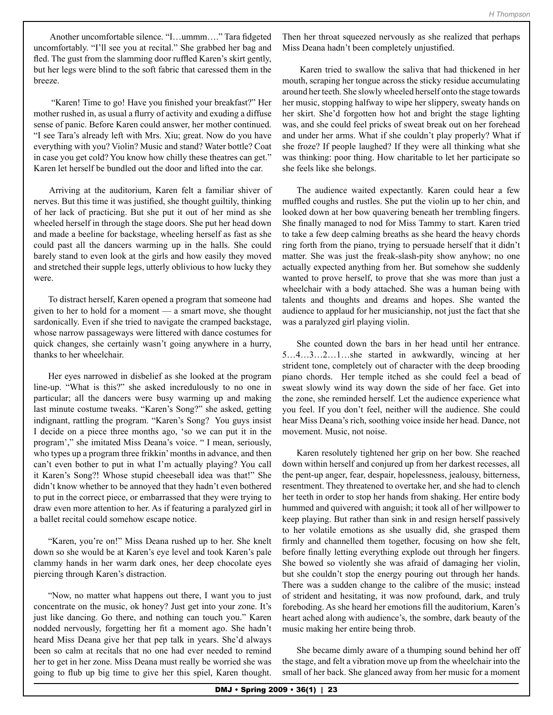Another uncomfortable silence. "I…ummm…." Tara fidgeted uncomfortably. "I'll see you at recital." She grabbed her bag and fled. The gust from the slamming door ruffled Karen's skirt gently, but her legs were blind to the soft fabric that caressed them in the breeze.

 "Karen! Time to go! Have you finished your breakfast?" Her mother rushed in, as usual a flurry of activity and exuding a diffuse sense of panic. Before Karen could answer, her mother continued. "I see Tara's already left with Mrs. Xiu; great. Now do you have everything with you? Violin? Music and stand? Water bottle? Coat in case you get cold? You know how chilly these theatres can get." Karen let herself be bundled out the door and lifted into the car.

Arriving at the auditorium, Karen felt a familiar shiver of nerves. But this time it was justified, she thought guiltily, thinking of her lack of practicing. But she put it out of her mind as she wheeled herself in through the stage doors. She put her head down and made a beeline for backstage, wheeling herself as fast as she could past all the dancers warming up in the halls. She could barely stand to even look at the girls and how easily they moved and stretched their supple legs, utterly oblivious to how lucky they were.

To distract herself, Karen opened a program that someone had given to her to hold for a moment — a smart move, she thought sardonically. Even if she tried to navigate the cramped backstage, whose narrow passageways were littered with dance costumes for quick changes, she certainly wasn't going anywhere in a hurry, thanks to her wheelchair.

Her eyes narrowed in disbelief as she looked at the program line-up. "What is this?" she asked incredulously to no one in particular; all the dancers were busy warming up and making last minute costume tweaks. "Karen's Song?" she asked, getting indignant, rattling the program. "Karen's Song? You guys insist I decide on a piece three months ago, 'so we can put it in the program'," she imitated Miss Deana's voice. " I mean, seriously, who types up a program three frikkin' months in advance, and then can't even bother to put in what I'm actually playing? You call it Karen's Song?! Whose stupid cheeseball idea was that!" She didn't know whether to be annoyed that they hadn't even bothered to put in the correct piece, or embarrassed that they were trying to draw even more attention to her. As if featuring a paralyzed girl in a ballet recital could somehow escape notice.

"Karen, you're on!" Miss Deana rushed up to her. She knelt down so she would be at Karen's eye level and took Karen's pale clammy hands in her warm dark ones, her deep chocolate eyes piercing through Karen's distraction.

"Now, no matter what happens out there, I want you to just concentrate on the music, ok honey? Just get into your zone. It's just like dancing. Go there, and nothing can touch you." Karen nodded nervously, forgetting her fit a moment ago. She hadn't heard Miss Deana give her that pep talk in years. She'd always been so calm at recitals that no one had ever needed to remind her to get in her zone. Miss Deana must really be worried she was going to flub up big time to give her this spiel, Karen thought.

Then her throat squeezed nervously as she realized that perhaps Miss Deana hadn't been completely unjustified.

 Karen tried to swallow the saliva that had thickened in her mouth, scraping her tongue across the sticky residue accumulating around her teeth. She slowly wheeled herself onto the stage towards her music, stopping halfway to wipe her slippery, sweaty hands on her skirt. She'd forgotten how hot and bright the stage lighting was, and she could feel pricks of sweat break out on her forehead and under her arms. What if she couldn't play properly? What if she froze? If people laughed? If they were all thinking what she was thinking: poor thing. How charitable to let her participate so she feels like she belongs.

The audience waited expectantly. Karen could hear a few muffled coughs and rustles. She put the violin up to her chin, and looked down at her bow quavering beneath her trembling fingers. She finally managed to nod for Miss Tammy to start. Karen tried to take a few deep calming breaths as she heard the heavy chords ring forth from the piano, trying to persuade herself that it didn't matter. She was just the freak-slash-pity show anyhow; no one actually expected anything from her. But somehow she suddenly wanted to prove herself, to prove that she was more than just a wheelchair with a body attached. She was a human being with talents and thoughts and dreams and hopes. She wanted the audience to applaud for her musicianship, not just the fact that she was a paralyzed girl playing violin.

She counted down the bars in her head until her entrance. 5…4…3…2…1…she started in awkwardly, wincing at her strident tone, completely out of character with the deep brooding piano chords. Her temple itched as she could feel a bead of sweat slowly wind its way down the side of her face. Get into the zone, she reminded herself. Let the audience experience what you feel. If you don't feel, neither will the audience. She could hear Miss Deana's rich, soothing voice inside her head. Dance, not movement. Music, not noise.

Karen resolutely tightened her grip on her bow. She reached down within herself and conjured up from her darkest recesses, all the pent-up anger, fear, despair, hopelessness, jealousy, bitterness, resentment. They threatened to overtake her, and she had to clench her teeth in order to stop her hands from shaking. Her entire body hummed and quivered with anguish; it took all of her willpower to keep playing. But rather than sink in and resign herself passively to her volatile emotions as she usually did, she grasped them firmly and channelled them together, focusing on how she felt, before finally letting everything explode out through her fingers. She bowed so violently she was afraid of damaging her violin, but she couldn't stop the energy pouring out through her hands. There was a sudden change to the calibre of the music; instead of strident and hesitating, it was now profound, dark, and truly foreboding. As she heard her emotions fill the auditorium, Karen's heart ached along with audience's, the sombre, dark beauty of the music making her entire being throb.

She became dimly aware of a thumping sound behind her off the stage, and felt a vibration move up from the wheelchair into the small of her back. She glanced away from her music for a moment